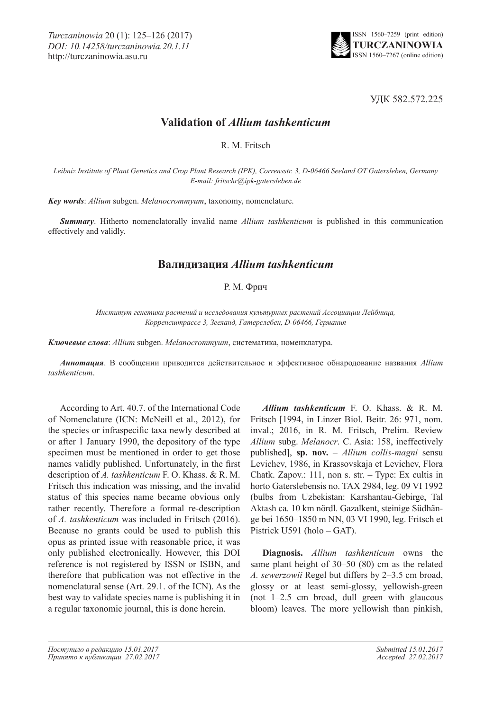

УДК 582.572.225

## **Validation of** *Allium tashkenticum*

R. M. Fritsch

*Leibniz Institute of Plant Genetics and Crop Plant Research (IPK), Corrensstr. 3, D-06466 Seeland OT Gatersleben, Germany E-mail: fritschr@ipk-gatersleben.de*

*Key words*: *Allium* subgen. *Melanocrommyum*, taxonomy, nomenclature.

*Summary*. Hitherto nomenclatorally invalid name *Allium tashkenticum* is published in this communication effectively and validly.

## **Валидизация** *Allium tashkenticum*

## Р. М. Фрич

*Институт генетики растений и исследования культурных растений Ассоциации Лейбница, Корренсштрассе 3, Зееланд, Гатерслебен, D-06466, Германия*

*Ключевые слова*: *Allium* subgen. *Melanocrommyum*, систематика, номенклатура.

*Аннотация*. В сообщении приводится действительное и эффективное обнародование названия *Allium tashkenticum*.

According to Art. 40.7. of the International Code of Nomenclature (ICN: McNeill et al., 2012), for the species or infraspecific taxa newly described at or after 1 January 1990, the depository of the type specimen must be mentioned in order to get those names validly published. Unfortunately, in the first description of *A. tashkenticum* F. O. Khass. & R. M. Fritsch this indication was missing, and the invalid status of this species name became obvious only rather recently. Therefore a formal re-description of *A. tashkenticum* was included in Fritsch (2016). Because no grants could be used to publish this opus as printed issue with reasonable price, it was only published electronically. However, this DOI reference is not registered by ISSN or ISBN, and therefore that publication was not effective in the nomenclatural sense (Art. 29.1. of the ICN). As the best way to validate species name is publishing it in a regular taxonomic journal, this is done herein.

*Allium tashkenticum* F. O. Khass. & R. M. Fritsch [1994, in Linzer Biol. Beitr. 26: 971, nom. inval.; 2016, in R. M. Fritsch, Prelim. Review *Allium* subg. *Melanocr*. C. Asia: 158, ineffectively published], **sp. nov.** – *Allium collis-magni* sensu Levichev, 1986, in Krassovskaja et Levichev, Flora Chatk. Zapov.: 111, non s. str. – Type: Ex cultis in horto Gaterslebensis no. TAX 2984, leg. 09 VI 1992 (bulbs from Uzbekistan: Karshantau-Gebirge, Tal Aktash ca. 10 km nördl. Gazalkent, steinige Südhänge bei 1650–1850 m NN, 03 VI 1990, leg. Fritsch et Pistrick U591 (holo – GAT).

**Diagnosis.** *Allium tashkenticum* owns the same plant height of 30–50 (80) cm as the related *A. sewerzowii* Regel but differs by 2–3.5 cm broad, glossy or at least semi-glossy, yellowish-green (not 1–2.5 cm broad, dull green with glaucous bloom) leaves. The more yellowish than pinkish,